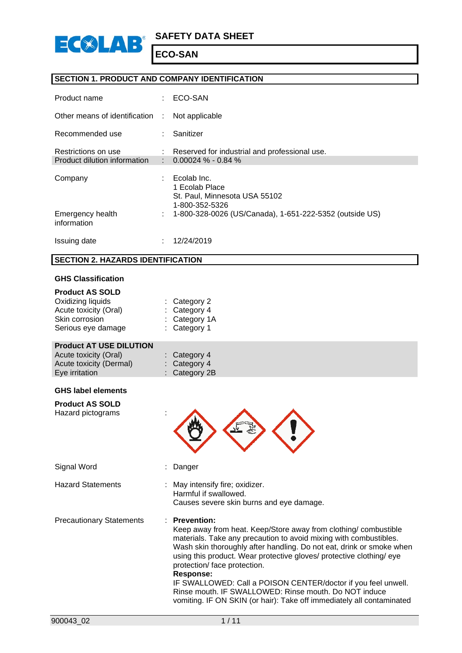

## **SECTION 1. PRODUCT AND COMPANY IDENTIFICATION**

| Product name                                        |   | ECO-SAN                                                                                                                                     |
|-----------------------------------------------------|---|---------------------------------------------------------------------------------------------------------------------------------------------|
| Other means of identification                       | ÷ | Not applicable                                                                                                                              |
| Recommended use                                     |   | Sanitizer                                                                                                                                   |
| Restrictions on use<br>Product dilution information |   | Reserved for industrial and professional use.<br>$0.00024\% - 0.84\%$                                                                       |
| Company<br>Emergency health                         | ÷ | Ecolab Inc.<br>1 Ecolab Place<br>St. Paul, Minnesota USA 55102<br>1-800-352-5326<br>1-800-328-0026 (US/Canada), 1-651-222-5352 (outside US) |
| information                                         |   |                                                                                                                                             |
| Issuing date                                        |   | 12/24/2019                                                                                                                                  |

#### **SECTION 2. HAZARDS IDENTIFICATION**

#### **GHS Classification**

| <b>Product AS SOLD</b><br>Oxidizing liquids<br>Acute toxicity (Oral)<br>Skin corrosion<br>Serious eye damage | Category 2<br>Category 4<br>Category 1A<br>Category 1                                                                                                                                                                                                                                                                                                                                                                                                                                                                                                     |
|--------------------------------------------------------------------------------------------------------------|-----------------------------------------------------------------------------------------------------------------------------------------------------------------------------------------------------------------------------------------------------------------------------------------------------------------------------------------------------------------------------------------------------------------------------------------------------------------------------------------------------------------------------------------------------------|
| <b>Product AT USE DILUTION</b><br>Acute toxicity (Oral)<br>Acute toxicity (Dermal)<br>Eye irritation         | Category 4<br>Category 4<br>Category 2B                                                                                                                                                                                                                                                                                                                                                                                                                                                                                                                   |
| <b>GHS label elements</b>                                                                                    |                                                                                                                                                                                                                                                                                                                                                                                                                                                                                                                                                           |
| <b>Product AS SOLD</b><br>Hazard pictograms                                                                  |                                                                                                                                                                                                                                                                                                                                                                                                                                                                                                                                                           |
| Signal Word                                                                                                  | Danger                                                                                                                                                                                                                                                                                                                                                                                                                                                                                                                                                    |
| <b>Hazard Statements</b>                                                                                     | May intensify fire; oxidizer.<br>Harmful if swallowed.<br>Causes severe skin burns and eye damage.                                                                                                                                                                                                                                                                                                                                                                                                                                                        |
| <b>Precautionary Statements</b>                                                                              | <b>Prevention:</b><br>Keep away from heat. Keep/Store away from clothing/combustible<br>materials. Take any precaution to avoid mixing with combustibles.<br>Wash skin thoroughly after handling. Do not eat, drink or smoke when<br>using this product. Wear protective gloves/ protective clothing/ eye<br>protection/ face protection.<br>Response:<br>IF SWALLOWED: Call a POISON CENTER/doctor if you feel unwell.<br>Rinse mouth. IF SWALLOWED: Rinse mouth. Do NOT induce<br>vomiting. IF ON SKIN (or hair): Take off immediately all contaminated |
|                                                                                                              |                                                                                                                                                                                                                                                                                                                                                                                                                                                                                                                                                           |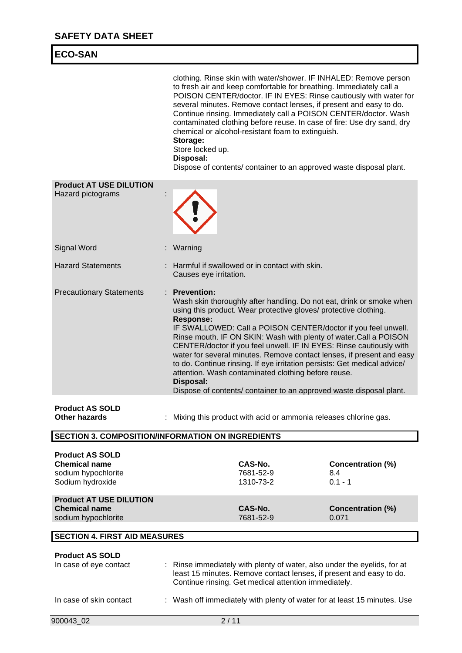| <b>ECO-SAN</b>                                                                            |                                                                                                                                                                                                                                                                                                                                                                                                                                                                                                                                                                                                                                                                                                |                                              |
|-------------------------------------------------------------------------------------------|------------------------------------------------------------------------------------------------------------------------------------------------------------------------------------------------------------------------------------------------------------------------------------------------------------------------------------------------------------------------------------------------------------------------------------------------------------------------------------------------------------------------------------------------------------------------------------------------------------------------------------------------------------------------------------------------|----------------------------------------------|
|                                                                                           | clothing. Rinse skin with water/shower. IF INHALED: Remove person<br>to fresh air and keep comfortable for breathing. Immediately call a<br>POISON CENTER/doctor. IF IN EYES: Rinse cautiously with water for<br>several minutes. Remove contact lenses, if present and easy to do.<br>Continue rinsing. Immediately call a POISON CENTER/doctor. Wash<br>contaminated clothing before reuse. In case of fire: Use dry sand, dry<br>chemical or alcohol-resistant foam to extinguish.<br>Storage:<br>Store locked up.<br>Disposal:<br>Dispose of contents/ container to an approved waste disposal plant.                                                                                      |                                              |
| <b>Product AT USE DILUTION</b><br>Hazard pictograms                                       |                                                                                                                                                                                                                                                                                                                                                                                                                                                                                                                                                                                                                                                                                                |                                              |
| <b>Signal Word</b>                                                                        | Warning                                                                                                                                                                                                                                                                                                                                                                                                                                                                                                                                                                                                                                                                                        |                                              |
| <b>Hazard Statements</b>                                                                  | Harmful if swallowed or in contact with skin.<br>Causes eye irritation.                                                                                                                                                                                                                                                                                                                                                                                                                                                                                                                                                                                                                        |                                              |
| <b>Precautionary Statements</b>                                                           | <b>Prevention:</b><br>Wash skin thoroughly after handling. Do not eat, drink or smoke when<br>using this product. Wear protective gloves/ protective clothing.<br><b>Response:</b><br>IF SWALLOWED: Call a POISON CENTER/doctor if you feel unwell.<br>Rinse mouth. IF ON SKIN: Wash with plenty of water.Call a POISON<br>CENTER/doctor if you feel unwell. IF IN EYES: Rinse cautiously with<br>water for several minutes. Remove contact lenses, if present and easy<br>to do. Continue rinsing. If eye irritation persists: Get medical advice/<br>attention. Wash contaminated clothing before reuse.<br>Disposal:<br>Dispose of contents/ container to an approved waste disposal plant. |                                              |
| <b>Product AS SOLD</b><br>Other hazards                                                   | Mixing this product with acid or ammonia releases chlorine gas.                                                                                                                                                                                                                                                                                                                                                                                                                                                                                                                                                                                                                                |                                              |
|                                                                                           | <b>SECTION 3. COMPOSITION/INFORMATION ON INGREDIENTS</b>                                                                                                                                                                                                                                                                                                                                                                                                                                                                                                                                                                                                                                       |                                              |
| <b>Product AS SOLD</b><br><b>Chemical name</b><br>sodium hypochlorite<br>Sodium hydroxide | CAS-No.<br>7681-52-9<br>1310-73-2                                                                                                                                                                                                                                                                                                                                                                                                                                                                                                                                                                                                                                                              | <b>Concentration (%)</b><br>8.4<br>$0.1 - 1$ |
| <b>Product AT USE DILUTION</b><br><b>Chemical name</b><br>sodium hypochlorite             | CAS-No.<br>7681-52-9                                                                                                                                                                                                                                                                                                                                                                                                                                                                                                                                                                                                                                                                           | <b>Concentration (%)</b><br>0.071            |
| <b>SECTION 4. FIRST AID MEASURES</b>                                                      |                                                                                                                                                                                                                                                                                                                                                                                                                                                                                                                                                                                                                                                                                                |                                              |
| <b>Product AS SOLD</b><br>In case of eye contact                                          | Rinse immediately with plenty of water, also under the eyelids, for at<br>÷<br>least 15 minutes. Remove contact lenses, if present and easy to do.<br>Continue rinsing. Get medical attention immediately.                                                                                                                                                                                                                                                                                                                                                                                                                                                                                     |                                              |

In case of skin contact : Wash off immediately with plenty of water for at least 15 minutes. Use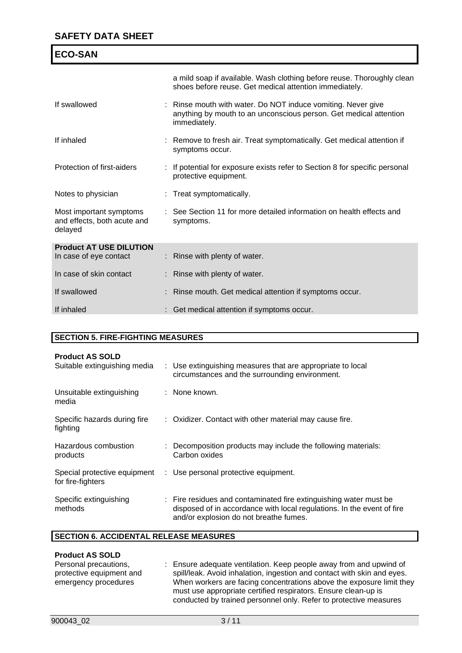| <b>ECO-SAN</b>                                                    |                                                                                                                                                   |
|-------------------------------------------------------------------|---------------------------------------------------------------------------------------------------------------------------------------------------|
|                                                                   | a mild soap if available. Wash clothing before reuse. Thoroughly clean<br>shoes before reuse. Get medical attention immediately.                  |
| If swallowed                                                      | : Rinse mouth with water. Do NOT induce vomiting. Never give<br>anything by mouth to an unconscious person. Get medical attention<br>immediately. |
| If inhaled                                                        | : Remove to fresh air. Treat symptomatically. Get medical attention if<br>symptoms occur.                                                         |
| Protection of first-aiders                                        | If potential for exposure exists refer to Section 8 for specific personal<br>protective equipment.                                                |
| Notes to physician                                                | : Treat symptomatically.                                                                                                                          |
| Most important symptoms<br>and effects, both acute and<br>delayed | : See Section 11 for more detailed information on health effects and<br>symptoms.                                                                 |
| <b>Product AT USE DILUTION</b><br>In case of eye contact          | : Rinse with plenty of water.                                                                                                                     |
| In case of skin contact                                           | : Rinse with plenty of water.                                                                                                                     |
| If swallowed                                                      | Rinse mouth. Get medical attention if symptoms occur.                                                                                             |
| If inhaled                                                        | Get medical attention if symptoms occur.                                                                                                          |

# **SECTION 5. FIRE-FIGHTING MEASURES**

| <b>Product AS SOLD</b><br>Suitable extinguishing media | : Use extinguishing measures that are appropriate to local<br>circumstances and the surrounding environment.                                                                          |
|--------------------------------------------------------|---------------------------------------------------------------------------------------------------------------------------------------------------------------------------------------|
| Unsuitable extinguishing<br>media                      | : None known.                                                                                                                                                                         |
| Specific hazards during fire<br>fighting               | : Oxidizer. Contact with other material may cause fire.                                                                                                                               |
| Hazardous combustion<br>products                       | : Decomposition products may include the following materials:<br>Carbon oxides                                                                                                        |
| Special protective equipment<br>for fire-fighters      | : Use personal protective equipment.                                                                                                                                                  |
| Specific extinguishing<br>methods                      | : Fire residues and contaminated fire extinguishing water must be<br>disposed of in accordance with local regulations. In the event of fire<br>and/or explosion do not breathe fumes. |

## **SECTION 6. ACCIDENTAL RELEASE MEASURES**

#### **Product AS SOLD**

| . <del>.</del>           |                                                                         |
|--------------------------|-------------------------------------------------------------------------|
| Personal precautions,    | : Ensure adequate ventilation. Keep people away from and upwind of      |
| protective equipment and | spill/leak. Avoid inhalation, ingestion and contact with skin and eyes. |
| emergency procedures     | When workers are facing concentrations above the exposure limit they    |
|                          | must use appropriate certified respirators. Ensure clean-up is          |
|                          | conducted by trained personnel only. Refer to protective measures       |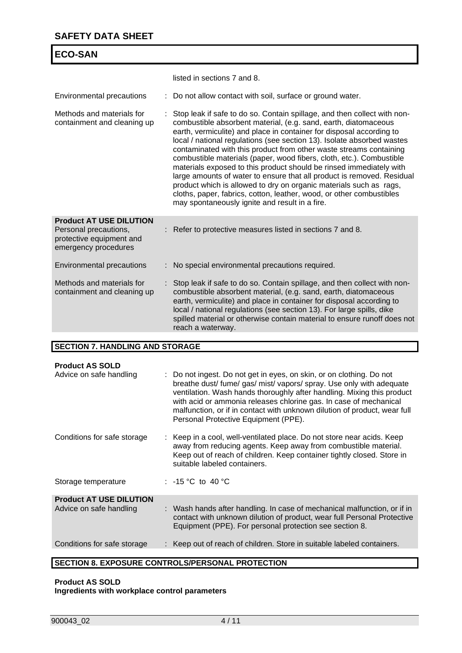| <b>ECO-SAN</b>                                                                                              |                                                                                                                                                                                                                                                                                                                                                                                                                                                                                                                                                                                                                                                                                                                                                                                              |
|-------------------------------------------------------------------------------------------------------------|----------------------------------------------------------------------------------------------------------------------------------------------------------------------------------------------------------------------------------------------------------------------------------------------------------------------------------------------------------------------------------------------------------------------------------------------------------------------------------------------------------------------------------------------------------------------------------------------------------------------------------------------------------------------------------------------------------------------------------------------------------------------------------------------|
|                                                                                                             | listed in sections 7 and 8.                                                                                                                                                                                                                                                                                                                                                                                                                                                                                                                                                                                                                                                                                                                                                                  |
| Environmental precautions                                                                                   | Do not allow contact with soil, surface or ground water.                                                                                                                                                                                                                                                                                                                                                                                                                                                                                                                                                                                                                                                                                                                                     |
| Methods and materials for<br>containment and cleaning up                                                    | Stop leak if safe to do so. Contain spillage, and then collect with non-<br>combustible absorbent material, (e.g. sand, earth, diatomaceous<br>earth, vermiculite) and place in container for disposal according to<br>local / national regulations (see section 13). Isolate absorbed wastes<br>contaminated with this product from other waste streams containing<br>combustible materials (paper, wood fibers, cloth, etc.). Combustible<br>materials exposed to this product should be rinsed immediately with<br>large amounts of water to ensure that all product is removed. Residual<br>product which is allowed to dry on organic materials such as rags,<br>cloths, paper, fabrics, cotton, leather, wood, or other combustibles<br>may spontaneously ignite and result in a fire. |
| <b>Product AT USE DILUTION</b><br>Personal precautions,<br>protective equipment and<br>emergency procedures | Refer to protective measures listed in sections 7 and 8.                                                                                                                                                                                                                                                                                                                                                                                                                                                                                                                                                                                                                                                                                                                                     |
| <b>Environmental precautions</b>                                                                            | No special environmental precautions required.                                                                                                                                                                                                                                                                                                                                                                                                                                                                                                                                                                                                                                                                                                                                               |
| Methods and materials for<br>containment and cleaning up                                                    | Stop leak if safe to do so. Contain spillage, and then collect with non-<br>combustible absorbent material, (e.g. sand, earth, diatomaceous<br>earth, vermiculite) and place in container for disposal according to<br>local / national regulations (see section 13). For large spills, dike<br>spilled material or otherwise contain material to ensure runoff does not<br>reach a waterway.                                                                                                                                                                                                                                                                                                                                                                                                |

#### **SECTION 7. HANDLING AND STORAGE**

| <b>Product AS SOLD</b>         |                                                                                                                                                                                                                                                                                                                                                                                                                  |
|--------------------------------|------------------------------------------------------------------------------------------------------------------------------------------------------------------------------------------------------------------------------------------------------------------------------------------------------------------------------------------------------------------------------------------------------------------|
| Advice on safe handling        | : Do not ingest. Do not get in eyes, on skin, or on clothing. Do not<br>breathe dust/ fume/ gas/ mist/ vapors/ spray. Use only with adequate<br>ventilation. Wash hands thoroughly after handling. Mixing this product<br>with acid or ammonia releases chlorine gas. In case of mechanical<br>malfunction, or if in contact with unknown dilution of product, wear full<br>Personal Protective Equipment (PPE). |
| Conditions for safe storage    | : Keep in a cool, well-ventilated place. Do not store near acids. Keep<br>away from reducing agents. Keep away from combustible material.<br>Keep out of reach of children. Keep container tightly closed. Store in<br>suitable labeled containers.                                                                                                                                                              |
| Storage temperature            | : $-15\degree C$ to $40\degree C$                                                                                                                                                                                                                                                                                                                                                                                |
| <b>Product AT USE DILUTION</b> |                                                                                                                                                                                                                                                                                                                                                                                                                  |
| Advice on safe handling        | : Wash hands after handling. In case of mechanical malfunction, or if in<br>contact with unknown dilution of product, wear full Personal Protective<br>Equipment (PPE). For personal protection see section 8.                                                                                                                                                                                                   |
| Conditions for safe storage    | : Keep out of reach of children. Store in suitable labeled containers.                                                                                                                                                                                                                                                                                                                                           |
|                                |                                                                                                                                                                                                                                                                                                                                                                                                                  |

# **SECTION 8. EXPOSURE CONTROLS/PERSONAL PROTECTION**

#### **Product AS SOLD Ingredients with workplace control parameters**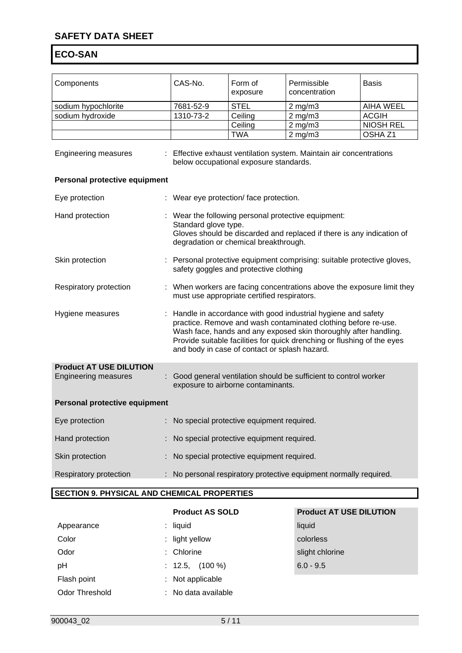# **SAFETY DATA SHEET**

# **ECO-SAN**

| Components                                                    | CAS-No.                                                                     | Form of<br>exposure                           | Permissible<br>concentration                                                                                                                                                                                                                                                  | Basis              |
|---------------------------------------------------------------|-----------------------------------------------------------------------------|-----------------------------------------------|-------------------------------------------------------------------------------------------------------------------------------------------------------------------------------------------------------------------------------------------------------------------------------|--------------------|
| sodium hypochlorite                                           | 7681-52-9                                                                   | <b>STEL</b>                                   | $2$ mg/m $3$                                                                                                                                                                                                                                                                  | <b>AIHA WEEL</b>   |
| sodium hydroxide                                              | 1310-73-2                                                                   | Ceiling                                       | $2$ mg/m $3$                                                                                                                                                                                                                                                                  | <b>ACGIH</b>       |
|                                                               |                                                                             | Ceiling                                       | $2$ mg/m $3$                                                                                                                                                                                                                                                                  | <b>NIOSH REL</b>   |
|                                                               |                                                                             | <b>TWA</b>                                    | $2$ mg/m $3$                                                                                                                                                                                                                                                                  | OSHA <sub>Z1</sub> |
| <b>Engineering measures</b>                                   |                                                                             | below occupational exposure standards.        | : Effective exhaust ventilation system. Maintain air concentrations                                                                                                                                                                                                           |                    |
| Personal protective equipment                                 |                                                                             |                                               |                                                                                                                                                                                                                                                                               |                    |
| Eye protection                                                | : Wear eye protection/ face protection.                                     |                                               |                                                                                                                                                                                                                                                                               |                    |
| Hand protection                                               | : Wear the following personal protective equipment:<br>Standard glove type. | degradation or chemical breakthrough.         | Gloves should be discarded and replaced if there is any indication of                                                                                                                                                                                                         |                    |
| Skin protection                                               |                                                                             | safety goggles and protective clothing        | : Personal protective equipment comprising: suitable protective gloves,                                                                                                                                                                                                       |                    |
| Respiratory protection                                        |                                                                             | must use appropriate certified respirators.   | When workers are facing concentrations above the exposure limit they                                                                                                                                                                                                          |                    |
| Hygiene measures                                              |                                                                             | and body in case of contact or splash hazard. | Handle in accordance with good industrial hygiene and safety<br>practice. Remove and wash contaminated clothing before re-use.<br>Wash face, hands and any exposed skin thoroughly after handling.<br>Provide suitable facilities for quick drenching or flushing of the eyes |                    |
| <b>Product AT USE DILUTION</b><br><b>Engineering measures</b> | t.                                                                          | exposure to airborne contaminants.            | Good general ventilation should be sufficient to control worker                                                                                                                                                                                                               |                    |
| Personal protective equipment                                 |                                                                             |                                               |                                                                                                                                                                                                                                                                               |                    |
| Eye protection                                                |                                                                             | No special protective equipment required.     |                                                                                                                                                                                                                                                                               |                    |
| Hand protection                                               |                                                                             | No special protective equipment required.     |                                                                                                                                                                                                                                                                               |                    |
| Skin protection                                               |                                                                             | No special protective equipment required.     |                                                                                                                                                                                                                                                                               |                    |
| Respiratory protection                                        |                                                                             |                                               | No personal respiratory protective equipment normally required.                                                                                                                                                                                                               |                    |

#### **SECTION 9. PHYSICAL AND CHEMICAL PROPERTIES**

| Appearance     | $:$ liquid           | liquid      |
|----------------|----------------------|-------------|
| Color          | : light yellow       | colorless   |
| Odor           | : Chlorine           | slight ch   |
| pH             | : $12.5$ , $(100\%)$ | $6.0 - 9.5$ |
| Flash point    | : Not applicable     |             |
| Odor Threshold | : No data available  |             |

# **Product AS SOLD Product AT USE DILUTION** colorless slight chlorine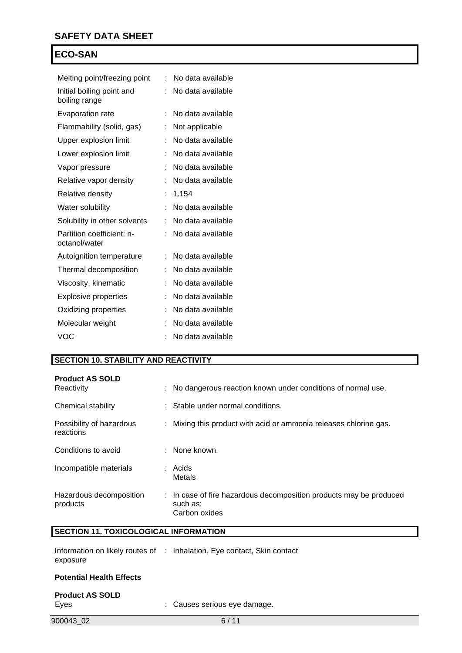| Melting point/freezing point               | t | No data available |
|--------------------------------------------|---|-------------------|
| Initial boiling point and<br>boiling range | t | No data available |
| <b>Evaporation rate</b>                    | t | No data available |
| Flammability (solid, gas)                  | t | Not applicable    |
| Upper explosion limit                      | t | No data available |
| Lower explosion limit                      | t | No data available |
| Vapor pressure                             |   | No data available |
| Relative vapor density                     |   | No data available |
| <b>Relative density</b>                    | t | 1.154             |
| Water solubility                           |   | No data available |
| Solubility in other solvents               | İ | No data available |
| Partition coefficient: n-<br>octanol/water | Ì | No data available |
| Autoignition temperature                   | t | No data available |
| Thermal decomposition                      | t | No data available |
| Viscosity, kinematic                       | t | No data available |
| <b>Explosive properties</b>                |   | No data available |
| Oxidizing properties                       |   | No data available |
| Molecular weight                           | Ì | No data available |
| VOC                                        |   | No data available |

#### **SECTION 10. STABILITY AND REACTIVITY**

| <b>Product AS SOLD</b><br>Reactivity  | : No dangerous reaction known under conditions of normal use.                                   |
|---------------------------------------|-------------------------------------------------------------------------------------------------|
| Chemical stability                    | : Stable under normal conditions.                                                               |
| Possibility of hazardous<br>reactions | : Mixing this product with acid or ammonia releases chlorine gas.                               |
| Conditions to avoid                   | : None known.                                                                                   |
| Incompatible materials                | : Acids<br>Metals                                                                               |
| Hazardous decomposition<br>products   | : In case of fire hazardous decomposition products may be produced<br>such as:<br>Carbon oxides |

# **SECTION 11. TOXICOLOGICAL INFORMATION**

| exposure                        | Information on likely routes of : Inhalation, Eye contact, Skin contact |
|---------------------------------|-------------------------------------------------------------------------|
| <b>Potential Health Effects</b> |                                                                         |
| <b>Product AS SOLD</b>          |                                                                         |

| . <b>.</b> |                              |
|------------|------------------------------|
| Eyes       | : Causes serious eye damage. |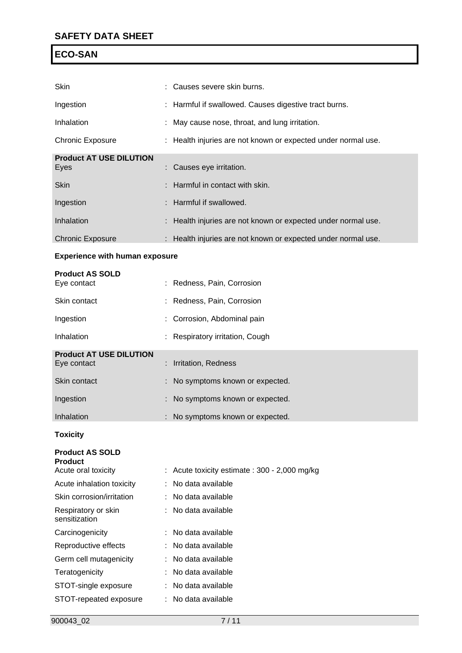| Skin                                  |    | Causes severe skin burns.                                     |
|---------------------------------------|----|---------------------------------------------------------------|
| Ingestion                             |    | Harmful if swallowed. Causes digestive tract burns.           |
| Inhalation                            |    | May cause nose, throat, and lung irritation.                  |
| <b>Chronic Exposure</b>               |    | Health injuries are not known or expected under normal use.   |
| <b>Product AT USE DILUTION</b>        |    |                                                               |
| Eyes                                  |    | Causes eye irritation.                                        |
| <b>Skin</b>                           |    | Harmful in contact with skin.                                 |
| Ingestion                             |    | Harmful if swallowed.                                         |
| Inhalation                            |    | Health injuries are not known or expected under normal use.   |
| <b>Chronic Exposure</b>               |    | : Health injuries are not known or expected under normal use. |
| <b>Experience with human exposure</b> |    |                                                               |
| <b>Product AS SOLD</b>                |    |                                                               |
| Eye contact                           |    | Redness, Pain, Corrosion                                      |
| Skin contact                          |    | Redness, Pain, Corrosion                                      |
| Ingestion                             |    | Corrosion, Abdominal pain                                     |
| Inhalation                            |    | Respiratory irritation, Cough                                 |
| <b>Product AT USE DILUTION</b>        |    |                                                               |
| Eye contact                           |    | Irritation, Redness                                           |
| Skin contact                          |    | No symptoms known or expected.                                |
| Ingestion                             |    | No symptoms known or expected.                                |
| Inhalation                            |    | No symptoms known or expected.                                |
| <b>Toxicity</b>                       |    |                                                               |
| <b>Product AS SOLD</b>                |    |                                                               |
| <b>Product</b><br>Acute oral toxicity |    | Acute toxicity estimate: 300 - 2,000 mg/kg                    |
| Acute inhalation toxicity             |    | No data available                                             |
| Skin corrosion/irritation             | ÷. | No data available                                             |
| Respiratory or skin<br>sensitization  |    | No data available                                             |
| Carcinogenicity                       |    | No data available                                             |
| Reproductive effects                  |    | No data available                                             |
| Germ cell mutagenicity                |    | No data available                                             |
| Teratogenicity                        |    | No data available                                             |
| STOT-single exposure                  |    | No data available                                             |
|                                       |    |                                                               |

STOT-repeated exposure : No data available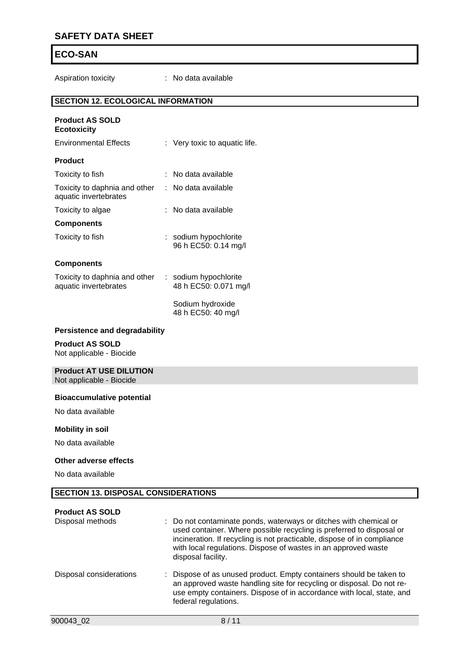# **SAFETY DATA SHEET**

# **ECO-SAN**

Aspiration toxicity : No data available

#### **SECTION 12. ECOLOGICAL INFORMATION**

| <b>Product AS SOLD</b><br><b>Ecotoxicity</b>               |    |                                                |
|------------------------------------------------------------|----|------------------------------------------------|
| <b>Environmental Effects</b>                               |    | Very toxic to aquatic life.                    |
| <b>Product</b>                                             |    |                                                |
| Toxicity to fish                                           |    | No data available                              |
| Toxicity to daphnia and other<br>aquatic invertebrates     | ÷. | No data available                              |
| Toxicity to algae                                          |    | No data available                              |
| <b>Components</b>                                          |    |                                                |
| Toxicity to fish                                           |    | : sodium hypochlorite<br>96 h EC50: 0.14 mg/l  |
| <b>Components</b>                                          |    |                                                |
| Toxicity to daphnia and other<br>aquatic invertebrates     |    | : sodium hypochlorite<br>48 h EC50: 0.071 mg/l |
|                                                            |    | Sodium hydroxide<br>48 h EC50: 40 mg/l         |
| Persistence and degradability                              |    |                                                |
| <b>Product AS SOLD</b><br>Not applicable - Biocide         |    |                                                |
| <b>Product AT USE DILUTION</b><br>Not applicable - Biocide |    |                                                |
| <b>Bioaccumulative potential</b>                           |    |                                                |

No data available

#### **Mobility in soil**

No data available

#### **Other adverse effects**

No data available

#### **SECTION 13. DISPOSAL CONSIDERATIONS**

# **Product AS SOLD**<br>Disposal methods

| Disposal methods        | : Do not contaminate ponds, waterways or ditches with chemical or<br>used container. Where possible recycling is preferred to disposal or<br>incineration. If recycling is not practicable, dispose of in compliance<br>with local regulations. Dispose of wastes in an approved waste<br>disposal facility. |
|-------------------------|--------------------------------------------------------------------------------------------------------------------------------------------------------------------------------------------------------------------------------------------------------------------------------------------------------------|
| Disposal considerations | : Dispose of as unused product. Empty containers should be taken to<br>an approved waste handling site for recycling or disposal. Do not re-<br>use empty containers. Dispose of in accordance with local, state, and<br>federal regulations.                                                                |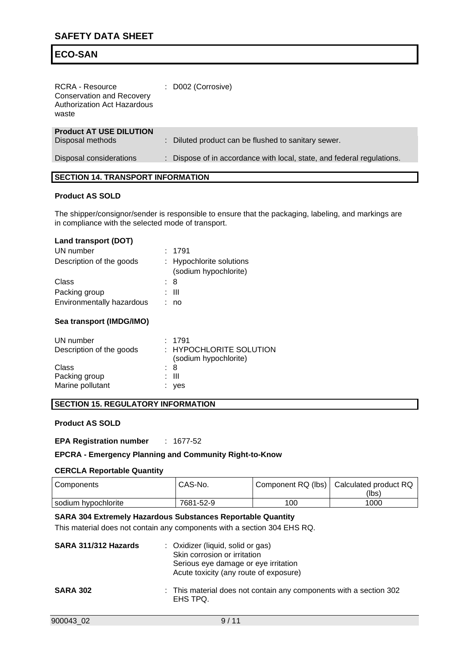| <b>RCRA - Resource</b><br><b>Conservation and Recovery</b><br>Authorization Act Hazardous<br>waste | : D002 (Corrosive)                                                   |
|----------------------------------------------------------------------------------------------------|----------------------------------------------------------------------|
| <b>Product AT USE DILUTION</b>                                                                     |                                                                      |
| Disposal methods                                                                                   | : Diluted product can be flushed to sanitary sewer.                  |
|                                                                                                    |                                                                      |
| Disposal considerations                                                                            | Dispose of in accordance with local, state, and federal regulations. |
|                                                                                                    |                                                                      |

#### **SECTION 14. TRANSPORT INFORMATION**

#### **Product AS SOLD**

The shipper/consignor/sender is responsible to ensure that the packaging, labeling, and markings are in compliance with the selected mode of transport.

#### **Land transport (DOT)**

| UN number                 | : 1791                                            |
|---------------------------|---------------------------------------------------|
| Description of the goods  | : Hypochlorite solutions<br>(sodium hypochlorite) |
| Class                     | : 8                                               |
| Packing group             | : III                                             |
| Environmentally hazardous | no                                                |

#### **Sea transport (IMDG/IMO)**

| UN number<br>Description of the goods | : 1791<br>: HYPOCHLORITE SOLUTION<br>(sodium hypochlorite) |
|---------------------------------------|------------------------------------------------------------|
| Class                                 | : 8                                                        |
| Packing group                         | : III                                                      |
| Marine pollutant                      | : yes                                                      |

#### **SECTION 15. REGULATORY INFORMATION**

#### **Product AS SOLD**

**EPA Registration number** : 1677-52

#### **EPCRA - Emergency Planning and Community Right-to-Know**

#### **CERCLA Reportable Quantity**

| Components          | CAS-No.   |     | Component RQ (lbs)   Calculated product RQ<br>(lbs) |
|---------------------|-----------|-----|-----------------------------------------------------|
| sodium hypochlorite | 7681-52-9 | 100 | 1000                                                |

## **SARA 304 Extremely Hazardous Substances Reportable Quantity**

This material does not contain any components with a section 304 EHS RQ.

| SARA 311/312 Hazards | : Oxidizer (liquid, solid or gas)<br>Skin corrosion or irritation<br>Serious eye damage or eye irritation<br>Acute toxicity (any route of exposure) |
|----------------------|-----------------------------------------------------------------------------------------------------------------------------------------------------|
| <b>SARA 302</b>      | : This material does not contain any components with a section 302<br>EHS TPQ.                                                                      |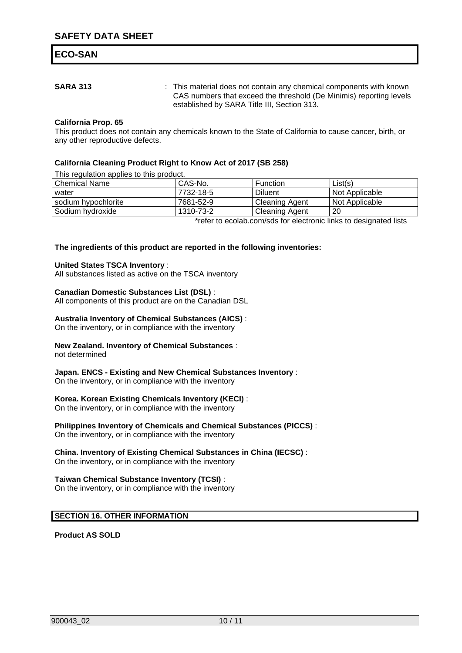**SARA 313** : This material does not contain any chemical components with known CAS numbers that exceed the threshold (De Minimis) reporting levels established by SARA Title III, Section 313.

#### **California Prop. 65**

This product does not contain any chemicals known to the State of California to cause cancer, birth, or any other reproductive defects.

#### **California Cleaning Product Right to Know Act of 2017 (SB 258)**

This regulation applies to this product.

| Chemical Name       | CAS-No.   | Function              | List(s)                                                           |
|---------------------|-----------|-----------------------|-------------------------------------------------------------------|
| water               | 7732-18-5 | <b>Diluent</b>        | Not Applicable                                                    |
| sodium hypochlorite | 7681-52-9 | <b>Cleaning Agent</b> | Not Applicable                                                    |
| Sodium hvdroxide    | 1310-73-2 | Cleaning Agent        | 20                                                                |
|                     |           |                       | *refer to esclab com/ado for electronic links to designated lists |

\*refer to ecolab.com/sds for electronic links to designated lists

#### **The ingredients of this product are reported in the following inventories:**

#### **United States TSCA Inventory** :

All substances listed as active on the TSCA inventory

#### **Canadian Domestic Substances List (DSL)** :

All components of this product are on the Canadian DSL

#### **Australia Inventory of Chemical Substances (AICS)** :

On the inventory, or in compliance with the inventory

#### **New Zealand. Inventory of Chemical Substances** :

not determined

#### **Japan. ENCS - Existing and New Chemical Substances Inventory** :

On the inventory, or in compliance with the inventory

#### **Korea. Korean Existing Chemicals Inventory (KECI)** :

On the inventory, or in compliance with the inventory

## **Philippines Inventory of Chemicals and Chemical Substances (PICCS)** :

On the inventory, or in compliance with the inventory

#### **China. Inventory of Existing Chemical Substances in China (IECSC)** :

On the inventory, or in compliance with the inventory

#### **Taiwan Chemical Substance Inventory (TCSI)** :

On the inventory, or in compliance with the inventory

#### **SECTION 16. OTHER INFORMATION**

**Product AS SOLD**